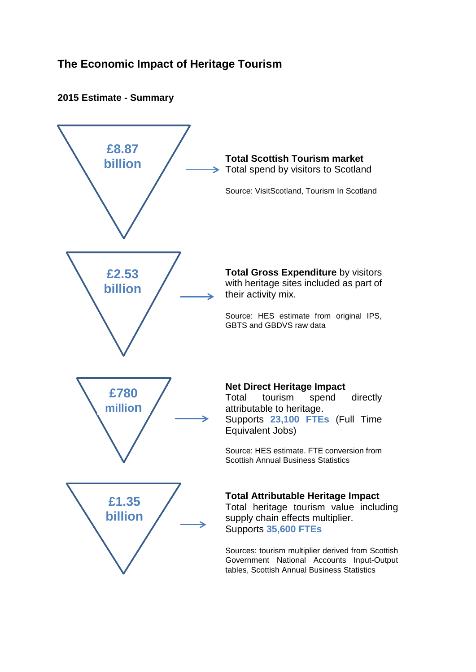# **The Economic Impact of Heritage Tourism**

## **2015 Estimate - Summary**

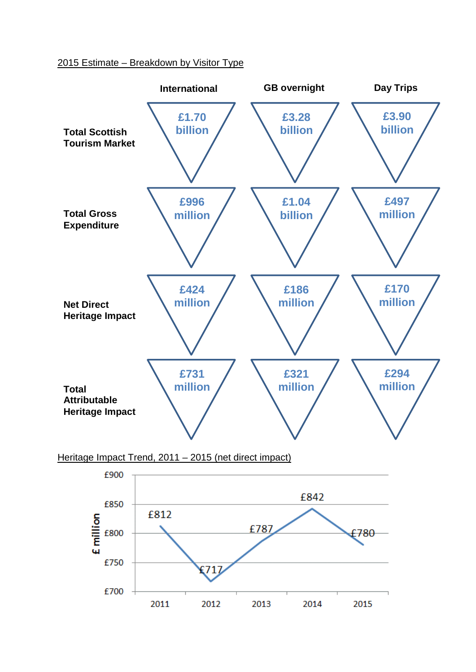### 2015 Estimate – Breakdown by Visitor Type



Heritage Impact Trend, 2011 – 2015 (net direct impact)

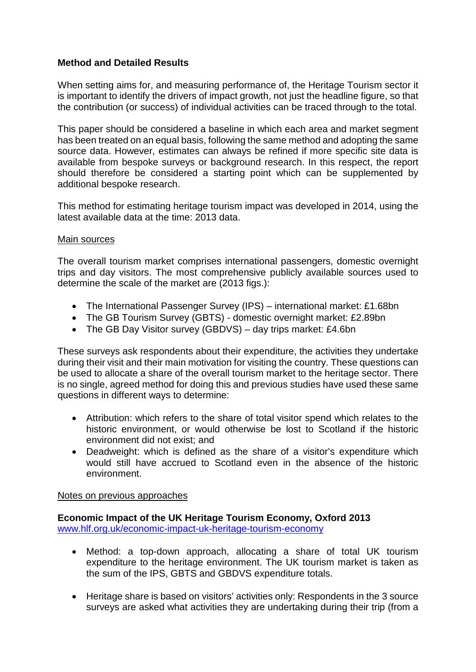## **Method and Detailed Results**

When setting aims for, and measuring performance of, the Heritage Tourism sector it is important to identify the drivers of impact growth, not just the headline figure, so that the contribution (or success) of individual activities can be traced through to the total.

This paper should be considered a baseline in which each area and market segment has been treated on an equal basis, following the same method and adopting the same source data. However, estimates can always be refined if more specific site data is available from bespoke surveys or background research. In this respect, the report should therefore be considered a starting point which can be supplemented by additional bespoke research.

This method for estimating heritage tourism impact was developed in 2014, using the latest available data at the time: 2013 data.

#### Main sources

The overall tourism market comprises international passengers, domestic overnight trips and day visitors. The most comprehensive publicly available sources used to determine the scale of the market are (2013 figs.):

- The International Passenger Survey (IPS) international market: £1.68bn
- The GB Tourism Survey (GBTS) domestic overnight market: £2.89bn
- The GB Day Visitor survey (GBDVS) day trips market: £4.6bn

These surveys ask respondents about their expenditure, the activities they undertake during their visit and their main motivation for visiting the country. These questions can be used to allocate a share of the overall tourism market to the heritage sector. There is no single, agreed method for doing this and previous studies have used these same questions in different ways to determine:

- Attribution: which refers to the share of total visitor spend which relates to the historic environment, or would otherwise be lost to Scotland if the historic environment did not exist; and
- Deadweight: which is defined as the share of a visitor's expenditure which would still have accrued to Scotland even in the absence of the historic environment.

#### Notes on previous approaches

**Economic Impact of the UK Heritage Tourism Economy, Oxford 2013** [www.hlf.org.uk/economic-impact-uk-heritage-tourism-economy](http://www.hlf.org.uk/economic-impact-uk-heritage-tourism-economy)

- Method: a top-down approach, allocating a share of total UK tourism expenditure to the heritage environment. The UK tourism market is taken as the sum of the IPS, GBTS and GBDVS expenditure totals.
- Heritage share is based on visitors' activities only: Respondents in the 3 source surveys are asked what activities they are undertaking during their trip (from a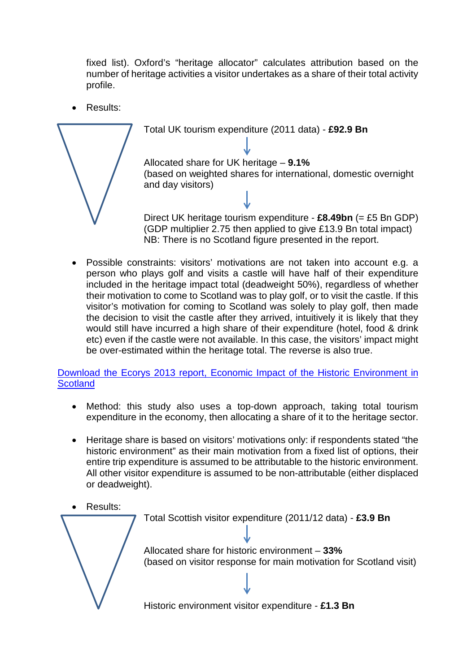fixed list). Oxford's "heritage allocator" calculates attribution based on the number of heritage activities a visitor undertakes as a share of their total activity profile.

Total UK tourism expenditure (2011 data) - **£92.9 Bn**

• Results:



Allocated share for UK heritage – **9.1%** (based on weighted shares for international, domestic overnight and day visitors)

Direct UK heritage tourism expenditure - **£8.49bn** (= £5 Bn GDP) (GDP multiplier 2.75 then applied to give £13.9 Bn total impact) NB: There is no Scotland figure presented in the report.

• Possible constraints: visitors' motivations are not taken into account e.g. a person who plays golf and visits a castle will have half of their expenditure included in the heritage impact total (deadweight 50%), regardless of whether their motivation to come to Scotland was to play golf, or to visit the castle. If this visitor's motivation for coming to Scotland was solely to play golf, then made the decision to visit the castle after they arrived, intuitively it is likely that they would still have incurred a high share of their expenditure (hotel, food & drink etc) even if the castle were not available. In this case, the visitors' impact might be over-estimated within the heritage total. The reverse is also true.

## [Download the Ecorys 2013 report, Economic Impact of the Historic Environment in](https://www.historicenvironment.scot/media/3916/economic-impact-ecorys.pdf)  **[Scotland](https://www.historicenvironment.scot/media/3916/economic-impact-ecorys.pdf)**

- Method: this study also uses a top-down approach, taking total tourism expenditure in the economy, then allocating a share of it to the heritage sector.
- Heritage share is based on visitors' motivations only: if respondents stated "the historic environment" as their main motivation from a fixed list of options, their entire trip expenditure is assumed to be attributable to the historic environment. All other visitor expenditure is assumed to be non-attributable (either displaced or deadweight).

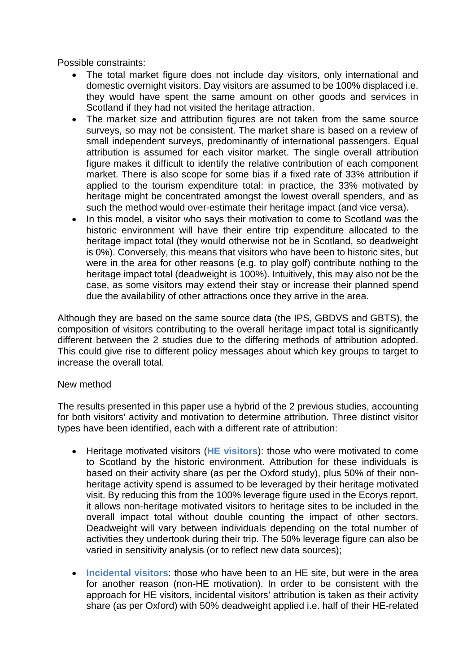Possible constraints:

- The total market figure does not include day visitors, only international and domestic overnight visitors. Day visitors are assumed to be 100% displaced i.e. they would have spent the same amount on other goods and services in Scotland if they had not visited the heritage attraction.
- The market size and attribution figures are not taken from the same source surveys, so may not be consistent. The market share is based on a review of small independent surveys, predominantly of international passengers. Equal attribution is assumed for each visitor market. The single overall attribution figure makes it difficult to identify the relative contribution of each component market. There is also scope for some bias if a fixed rate of 33% attribution if applied to the tourism expenditure total: in practice, the 33% motivated by heritage might be concentrated amongst the lowest overall spenders, and as such the method would over-estimate their heritage impact (and vice versa).
- In this model, a visitor who says their motivation to come to Scotland was the historic environment will have their entire trip expenditure allocated to the heritage impact total (they would otherwise not be in Scotland, so deadweight is 0%). Conversely, this means that visitors who have been to historic sites, but were in the area for other reasons (e.g. to play golf) contribute nothing to the heritage impact total (deadweight is 100%). Intuitively, this may also not be the case, as some visitors may extend their stay or increase their planned spend due the availability of other attractions once they arrive in the area.

Although they are based on the same source data (the IPS, GBDVS and GBTS), the composition of visitors contributing to the overall heritage impact total is significantly different between the 2 studies due to the differing methods of attribution adopted. This could give rise to different policy messages about which key groups to target to increase the overall total.

#### New method

The results presented in this paper use a hybrid of the 2 previous studies, accounting for both visitors' activity and motivation to determine attribution. Three distinct visitor types have been identified, each with a different rate of attribution:

- Heritage motivated visitors (**HE visitors**): those who were motivated to come to Scotland by the historic environment. Attribution for these individuals is based on their activity share (as per the Oxford study), plus 50% of their nonheritage activity spend is assumed to be leveraged by their heritage motivated visit. By reducing this from the 100% leverage figure used in the Ecorys report, it allows non-heritage motivated visitors to heritage sites to be included in the overall impact total without double counting the impact of other sectors. Deadweight will vary between individuals depending on the total number of activities they undertook during their trip. The 50% leverage figure can also be varied in sensitivity analysis (or to reflect new data sources);
- **Incidental visitors**: those who have been to an HE site, but were in the area for another reason (non-HE motivation). In order to be consistent with the approach for HE visitors, incidental visitors' attribution is taken as their activity share (as per Oxford) with 50% deadweight applied i.e. half of their HE-related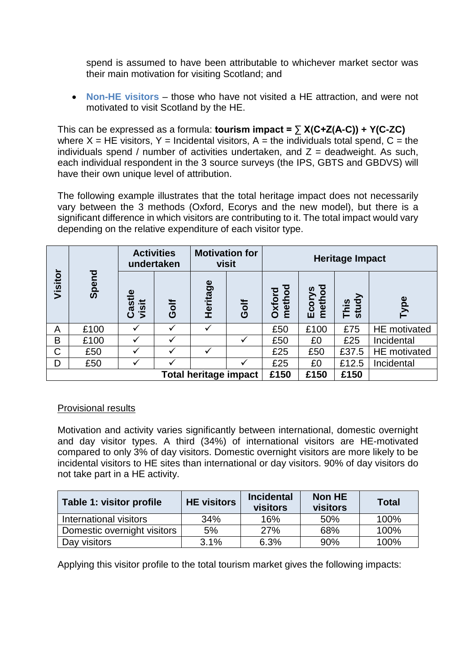spend is assumed to have been attributable to whichever market sector was their main motivation for visiting Scotland; and

• **Non-HE visitors** – those who have not visited a HE attraction, and were not motivated to visit Scotland by the HE.

This can be expressed as a formula: **tourism impact = ∑ X(C+Z(A-C)) + Y(C-ZC)** where  $X = HE$  visitors,  $Y =$  Incidental visitors,  $A =$  the individuals total spend,  $C =$  the individuals spend / number of activities undertaken, and  $Z =$  deadweight. As such, each individual respondent in the 3 source surveys (the IPS, GBTS and GBDVS) will have their own unique level of attribution.

The following example illustrates that the total heritage impact does not necessarily vary between the 3 methods (Oxford, Ecorys and the new model), but there is a significant difference in which visitors are contributing to it. The total impact would vary depending on the relative expenditure of each visitor type.

|                              |           | <b>Activities</b><br>undertaken |             | <b>Motivation for</b><br>visit |             | <b>Heritage Impact</b> |                  |               |                     |
|------------------------------|-----------|---------------------------------|-------------|--------------------------------|-------------|------------------------|------------------|---------------|---------------------|
| Visitor                      | 짇<br>Sper | Φ<br>Castle<br>visit            | <b>Golf</b> | Heritage                       | <b>Golf</b> | Oxford<br>method       | Ecorys<br>method | This<br>study | Type                |
| A                            | £100      |                                 |             |                                |             | £50                    | £100             | £75           | HE motivated        |
| B                            | £100      |                                 |             |                                |             | £50                    | £0               | £25           | Incidental          |
| C                            | £50       |                                 |             |                                |             | £25                    | £50              | £37.5         | <b>HE</b> motivated |
| D                            | £50       |                                 |             |                                |             | £25                    | £0               | £12.5         | Incidental          |
| <b>Total heritage impact</b> |           |                                 |             | £150                           | £150        | £150                   |                  |               |                     |

## Provisional results

Motivation and activity varies significantly between international, domestic overnight and day visitor types. A third (34%) of international visitors are HE-motivated compared to only 3% of day visitors. Domestic overnight visitors are more likely to be incidental visitors to HE sites than international or day visitors. 90% of day visitors do not take part in a HE activity.

| Table 1: visitor profile    | <b>HE</b> visitors | <b>Incidental</b><br>visitors | Non HE<br>visitors | <b>Total</b> |
|-----------------------------|--------------------|-------------------------------|--------------------|--------------|
| International visitors      | 34%                | 16%                           | 50%                | 100%         |
| Domestic overnight visitors | 5%                 | 27%                           | 68%                | 100%         |
| Day visitors                | 3.1%               | 6.3%                          | 90%                | 100%         |

Applying this visitor profile to the total tourism market gives the following impacts: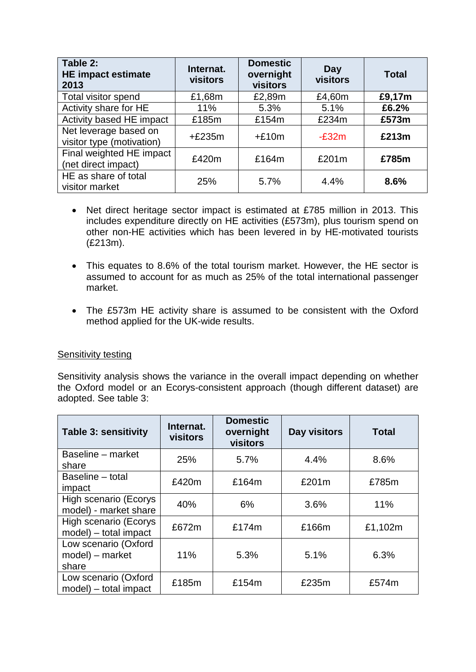| Table 2:<br><b>HE impact estimate</b><br>2013      | Internat.<br>visitors | <b>Domestic</b><br>overnight<br>visitors | Day<br>visitors | <b>Total</b> |
|----------------------------------------------------|-----------------------|------------------------------------------|-----------------|--------------|
| <b>Total visitor spend</b>                         | £1,68m                | £2,89m                                   | £4,60m          | £9,17m       |
| Activity share for HE                              | 11%                   | 5.3%                                     | 5.1%            | £6.2%        |
| Activity based HE impact                           | £185m                 | £154m                                    | £234m           | £573m        |
| Net leverage based on<br>visitor type (motivation) | $+£235m$              | $+£10m$                                  | $-E32m$         | £213m        |
| Final weighted HE impact<br>(net direct impact)    | £420m                 | £164m                                    | £201m           | £785m        |
| HE as share of total<br>visitor market             | 25%                   | 5.7%                                     | 4.4%            | 8.6%         |

- Net direct heritage sector impact is estimated at £785 million in 2013. This includes expenditure directly on HE activities (£573m), plus tourism spend on other non-HE activities which has been levered in by HE-motivated tourists (£213m).
- This equates to 8.6% of the total tourism market. However, the HE sector is assumed to account for as much as 25% of the total international passenger market.
- The £573m HE activity share is assumed to be consistent with the Oxford method applied for the UK-wide results.

#### Sensitivity testing

Sensitivity analysis shows the variance in the overall impact depending on whether the Oxford model or an Ecorys-consistent approach (though different dataset) are adopted. See table 3:

| <b>Table 3: sensitivity</b>                       | Internat.<br><b>visitors</b> | <b>Domestic</b><br>overnight<br>visitors | Day visitors | <b>Total</b> |
|---------------------------------------------------|------------------------------|------------------------------------------|--------------|--------------|
| Baseline – market<br>share                        | 25%                          | 5.7%                                     | 4.4%         | 8.6%         |
| Baseline - total<br>impact                        | £420m                        | £164m                                    | £201m        | £785m        |
| High scenario (Ecorys<br>model) - market share    | 40%                          | 6%                                       | 3.6%         | 11%          |
| High scenario (Ecorys<br>$model$ ) – total impact | £672m                        | £174m                                    | £166m        | £1,102m      |
| Low scenario (Oxford<br>model) – market<br>share  | 11%                          | 5.3%                                     | 5.1%         | 6.3%         |
| Low scenario (Oxford<br>model) - total impact     | £185m                        | £154m                                    | £235m        | £574m        |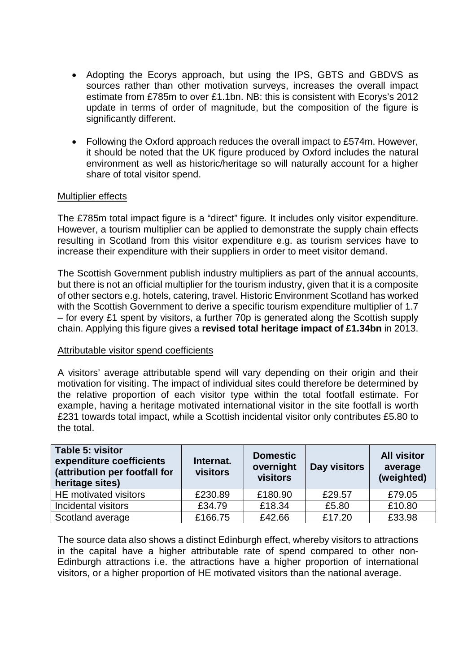- Adopting the Ecorys approach, but using the IPS, GBTS and GBDVS as sources rather than other motivation surveys, increases the overall impact estimate from £785m to over £1.1bn. NB: this is consistent with Ecorys's 2012 update in terms of order of magnitude, but the composition of the figure is significantly different.
- Following the Oxford approach reduces the overall impact to £574m. However, it should be noted that the UK figure produced by Oxford includes the natural environment as well as historic/heritage so will naturally account for a higher share of total visitor spend.

#### Multiplier effects

The £785m total impact figure is a "direct" figure. It includes only visitor expenditure. However, a tourism multiplier can be applied to demonstrate the supply chain effects resulting in Scotland from this visitor expenditure e.g. as tourism services have to increase their expenditure with their suppliers in order to meet visitor demand.

The Scottish Government publish industry multipliers as part of the annual accounts, but there is not an official multiplier for the tourism industry, given that it is a composite of other sectors e.g. hotels, catering, travel. Historic Environment Scotland has worked with the Scottish Government to derive a specific tourism expenditure multiplier of 1.7 – for every £1 spent by visitors, a further 70p is generated along the Scottish supply chain. Applying this figure gives a **revised total heritage impact of £1.34bn** in 2013.

#### Attributable visitor spend coefficients

A visitors' average attributable spend will vary depending on their origin and their motivation for visiting. The impact of individual sites could therefore be determined by the relative proportion of each visitor type within the total footfall estimate. For example, having a heritage motivated international visitor in the site footfall is worth £231 towards total impact, while a Scottish incidental visitor only contributes £5.80 to the total.

| Table 5: visitor<br>expenditure coefficients<br>(attribution per footfall for<br>heritage sites) | Internat.<br>visitors | <b>Domestic</b><br>overnight<br>visitors | Day visitors | <b>All visitor</b><br>average<br>(weighted) |
|--------------------------------------------------------------------------------------------------|-----------------------|------------------------------------------|--------------|---------------------------------------------|
| HE motivated visitors                                                                            | £230.89               | £180.90                                  | £29.57       | £79.05                                      |
| Incidental visitors                                                                              | £34.79                | £18.34                                   | £5.80        | £10.80                                      |
| Scotland average                                                                                 | £166.75               | £42.66                                   | £17.20       | £33.98                                      |

The source data also shows a distinct Edinburgh effect, whereby visitors to attractions in the capital have a higher attributable rate of spend compared to other non-Edinburgh attractions i.e. the attractions have a higher proportion of international visitors, or a higher proportion of HE motivated visitors than the national average.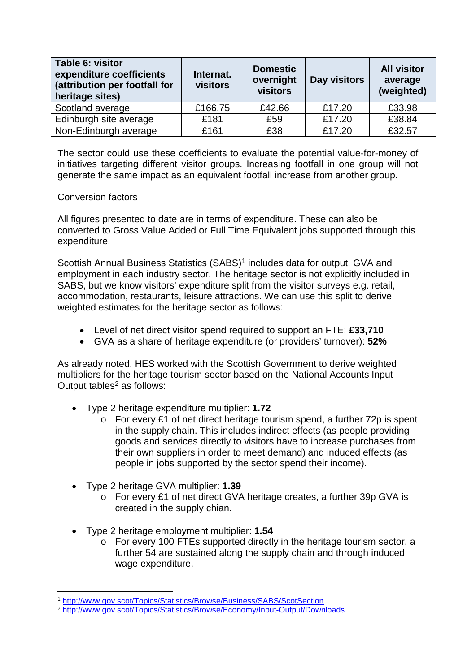| Table 6: visitor<br>expenditure coefficients<br>(attribution per footfall for<br>heritage sites) | Internat.<br>visitors | <b>Domestic</b><br>overnight<br>visitors | Day visitors | <b>All visitor</b><br>average<br>(weighted) |
|--------------------------------------------------------------------------------------------------|-----------------------|------------------------------------------|--------------|---------------------------------------------|
| Scotland average                                                                                 | £166.75               | £42.66                                   | £17.20       | £33.98                                      |
| Edinburgh site average                                                                           | £181                  | £59                                      | £17.20       | £38.84                                      |
| Non-Edinburgh average                                                                            | £161                  | £38                                      | £17.20       | £32.57                                      |

The sector could use these coefficients to evaluate the potential value-for-money of initiatives targeting different visitor groups. Increasing footfall in one group will not generate the same impact as an equivalent footfall increase from another group.

#### Conversion factors

All figures presented to date are in terms of expenditure. These can also be converted to Gross Value Added or Full Time Equivalent jobs supported through this expenditure.

Scottish Annual Business Statistics (SABS)<sup>[1](#page-8-0)</sup> includes data for output, GVA and employment in each industry sector. The heritage sector is not explicitly included in SABS, but we know visitors' expenditure split from the visitor surveys e.g. retail, accommodation, restaurants, leisure attractions. We can use this split to derive weighted estimates for the heritage sector as follows:

- Level of net direct visitor spend required to support an FTE: **£33,710**
- GVA as a share of heritage expenditure (or providers' turnover): **52%**

As already noted, HES worked with the Scottish Government to derive weighted multipliers for the heritage tourism sector based on the National Accounts Input Output tables $2$  as follows:

- Type 2 heritage expenditure multiplier: **1.72**
	- o For every £1 of net direct heritage tourism spend, a further 72p is spent in the supply chain. This includes indirect effects (as people providing goods and services directly to visitors have to increase purchases from their own suppliers in order to meet demand) and induced effects (as people in jobs supported by the sector spend their income).
- Type 2 heritage GVA multiplier: **1.39**
	- o For every £1 of net direct GVA heritage creates, a further 39p GVA is created in the supply chian.
- Type 2 heritage employment multiplier: **1.54**
	- o For every 100 FTEs supported directly in the heritage tourism sector, a further 54 are sustained along the supply chain and through induced wage expenditure.

<span id="page-8-0"></span> <sup>1</sup> <http://www.gov.scot/Topics/Statistics/Browse/Business/SABS/ScotSection>

<span id="page-8-1"></span><sup>2</sup> <http://www.gov.scot/Topics/Statistics/Browse/Economy/Input-Output/Downloads>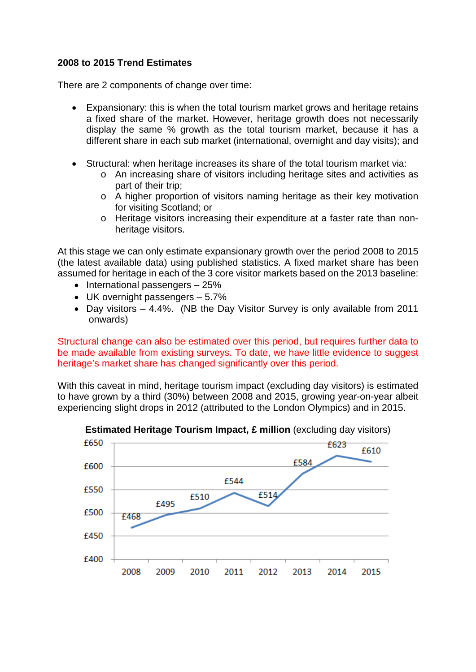### **2008 to 2015 Trend Estimates**

There are 2 components of change over time:

- Expansionary: this is when the total tourism market grows and heritage retains a fixed share of the market. However, heritage growth does not necessarily display the same % growth as the total tourism market, because it has a different share in each sub market (international, overnight and day visits); and
- Structural: when heritage increases its share of the total tourism market via:
	- o An increasing share of visitors including heritage sites and activities as part of their trip;
	- o A higher proportion of visitors naming heritage as their key motivation for visiting Scotland; or
	- o Heritage visitors increasing their expenditure at a faster rate than nonheritage visitors.

At this stage we can only estimate expansionary growth over the period 2008 to 2015 (the latest available data) using published statistics. A fixed market share has been assumed for heritage in each of the 3 core visitor markets based on the 2013 baseline:

- International passengers 25%
- UK overnight passengers 5.7%
- Day visitors 4.4%. (NB the Day Visitor Survey is only available from 2011 onwards)

Structural change can also be estimated over this period, but requires further data to be made available from existing surveys. To date, we have little evidence to suggest heritage's market share has changed significantly over this period.

With this caveat in mind, heritage tourism impact (excluding day visitors) is estimated to have grown by a third (30%) between 2008 and 2015, growing year-on-year albeit experiencing slight drops in 2012 (attributed to the London Olympics) and in 2015.



**Estimated Heritage Tourism Impact, £ million** (excluding day visitors)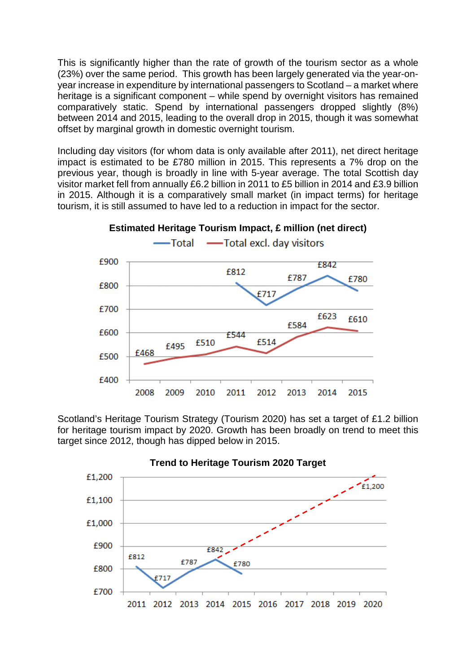This is significantly higher than the rate of growth of the tourism sector as a whole (23%) over the same period. This growth has been largely generated via the year-onyear increase in expenditure by international passengers to Scotland – a market where heritage is a significant component – while spend by overnight visitors has remained comparatively static. Spend by international passengers dropped slightly (8%) between 2014 and 2015, leading to the overall drop in 2015, though it was somewhat offset by marginal growth in domestic overnight tourism.

Including day visitors (for whom data is only available after 2011), net direct heritage impact is estimated to be £780 million in 2015. This represents a 7% drop on the previous year, though is broadly in line with 5-year average. The total Scottish day visitor market fell from annually £6.2 billion in 2011 to £5 billion in 2014 and £3.9 billion in 2015. Although it is a comparatively small market (in impact terms) for heritage tourism, it is still assumed to have led to a reduction in impact for the sector.



Scotland's Heritage Tourism Strategy (Tourism 2020) has set a target of £1.2 billion for heritage tourism impact by 2020. Growth has been broadly on trend to meet this target since 2012, though has dipped below in 2015.